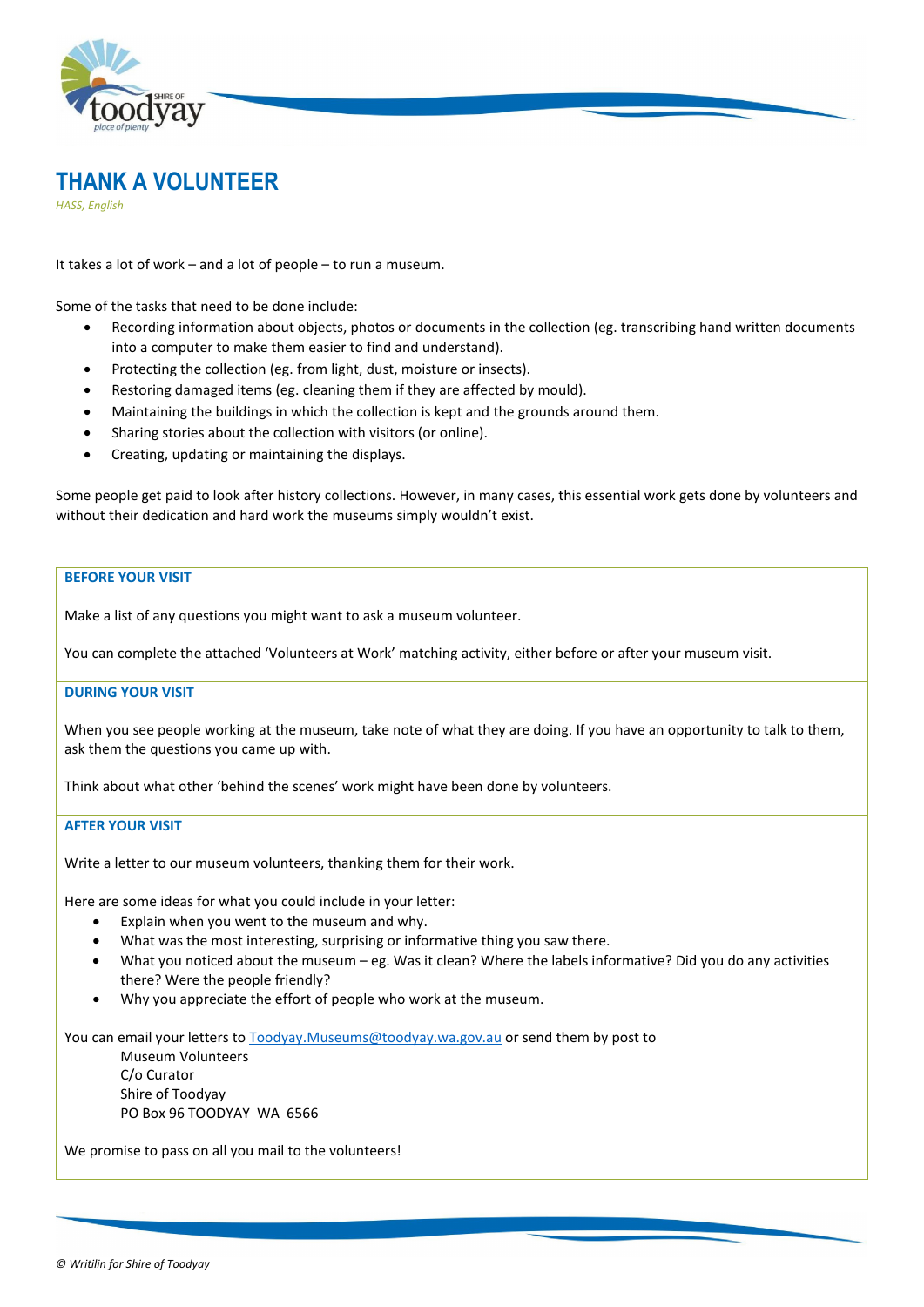



*HASS, English*

It takes a lot of work – and a lot of people – to run a museum.

Some of the tasks that need to be done include:

- Recording information about objects, photos or documents in the collection (eg. transcribing hand written documents into a computer to make them easier to find and understand).
- Protecting the collection (eg. from light, dust, moisture or insects).
- Restoring damaged items (eg. cleaning them if they are affected by mould).
- Maintaining the buildings in which the collection is kept and the grounds around them.
- Sharing stories about the collection with visitors (or online).
- Creating, updating or maintaining the displays.

Some people get paid to look after history collections. However, in many cases, this essential work gets done by volunteers and without their dedication and hard work the museums simply wouldn't exist.

### **BEFORE YOUR VISIT**

Make a list of any questions you might want to ask a museum volunteer.

You can complete the attached 'Volunteers at Work' matching activity, either before or after your museum visit.

#### **DURING YOUR VISIT**

When you see people working at the museum, take note of what they are doing. If you have an opportunity to talk to them, ask them the questions you came up with.

Think about what other 'behind the scenes' work might have been done by volunteers.

#### **AFTER YOUR VISIT**

Write a letter to our museum volunteers, thanking them for their work.

Here are some ideas for what you could include in your letter:

- Explain when you went to the museum and why.
- What was the most interesting, surprising or informative thing you saw there.
- What you noticed about the museum eg. Was it clean? Where the labels informative? Did you do any activities there? Were the people friendly?
- Why you appreciate the effort of people who work at the museum.

You can email your letters t[o Toodyay.Museums@toodyay.wa.gov.au](mailto:Toodyay.Museums@toodyay.wa.gov.au) or send them by post to Museum Volunteers

C/o Curator Shire of Toodyay PO Box 96 TOODYAY WA 6566

We promise to pass on all you mail to the volunteers!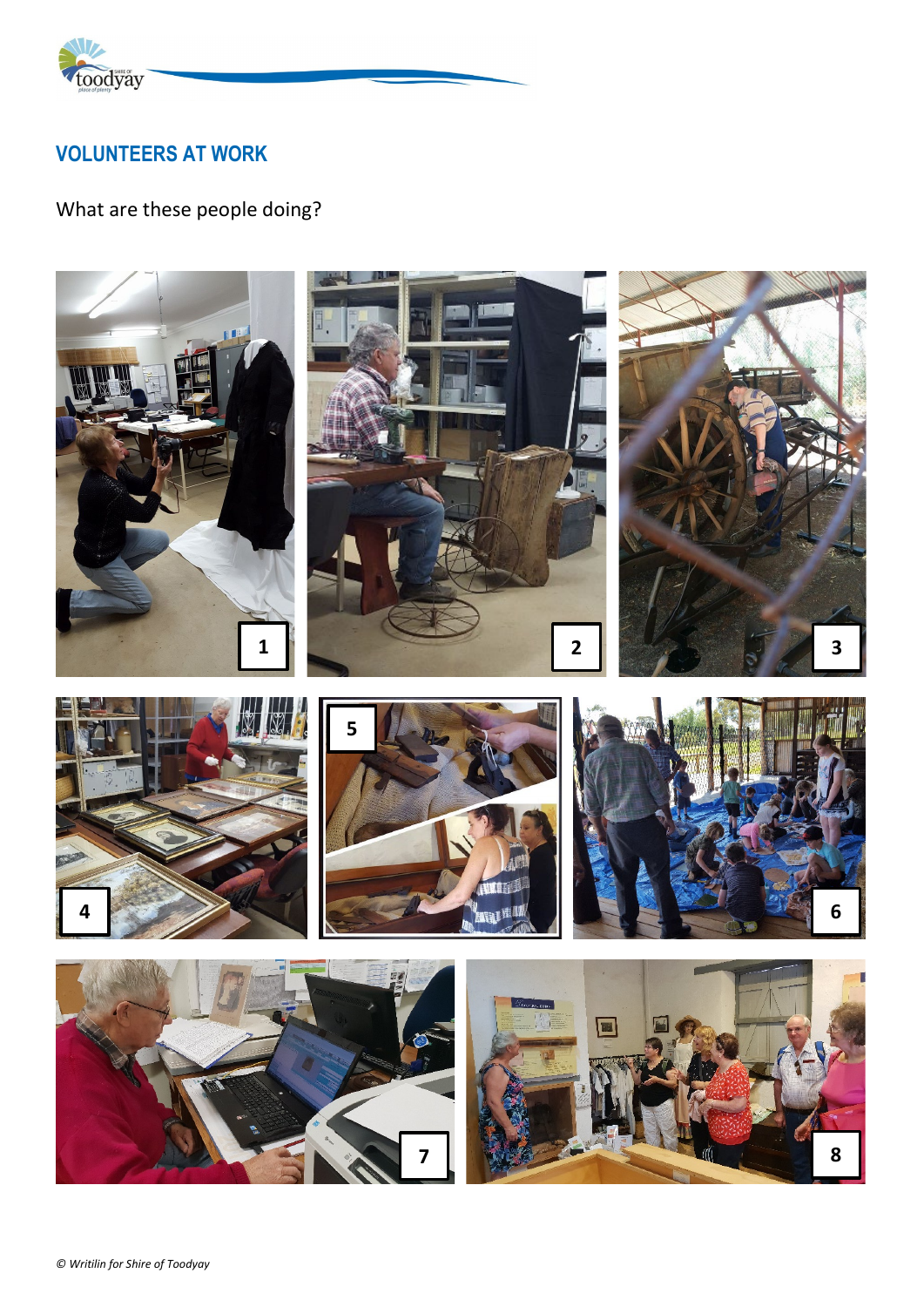

## **VOLUNTEERS AT WORK**

# What are these people doing?